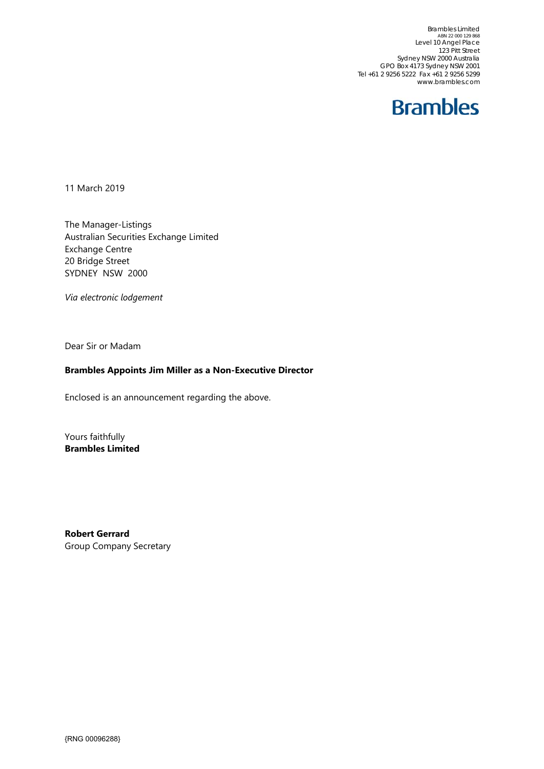Brambles Limited ABN 22 000 129 868 Level 10 Angel Place 123 Pitt Street Sydney NSW 2000 Australia GPO Box 4173 Sydney NSW 2001 Tel +61 2 9256 5222 Fax +61 2 9256 5299 www.brambles.com



11 March 2019

The Manager-Listings Australian Securities Exchange Limited Exchange Centre 20 Bridge Street SYDNEY NSW 2000

*Via electronic lodgement* 

Dear Sir or Madam

## **Brambles Appoints Jim Miller as a Non-Executive Director**

Enclosed is an announcement regarding the above.

Yours faithfully **Brambles Limited** 

**Robert Gerrard**  Group Company Secretary